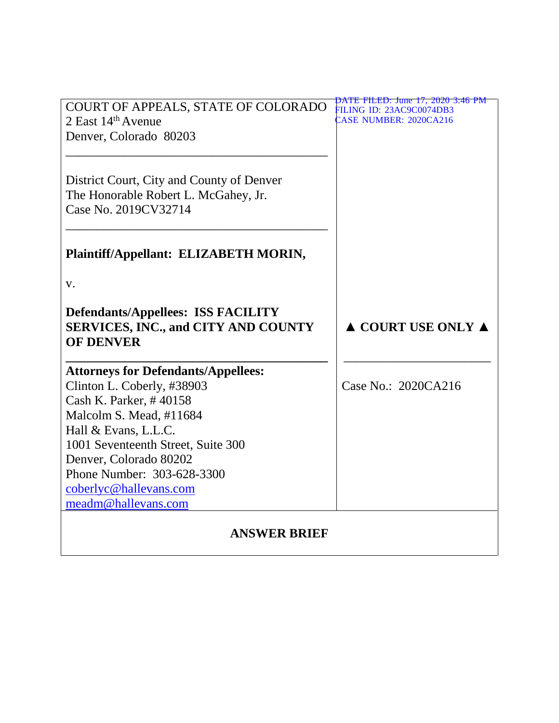| COURT OF APPEALS, STATE OF COLORADO<br>2 East $14th$ Avenue                                                 | PATE FILED: June 17, 2020 3:46 PM<br><b>ILING ID: 23AC9C0074DB3</b><br>CASE NUMBER: 2020CA216 |
|-------------------------------------------------------------------------------------------------------------|-----------------------------------------------------------------------------------------------|
| Denver, Colorado 80203                                                                                      |                                                                                               |
| District Court, City and County of Denver<br>The Honorable Robert L. McGahey, Jr.<br>Case No. 2019CV32714   |                                                                                               |
| Plaintiff/Appellant: ELIZABETH MORIN,                                                                       |                                                                                               |
| V.                                                                                                          |                                                                                               |
| <b>Defendants/Appellees: ISS FACILITY</b><br><b>SERVICES, INC., and CITY AND COUNTY</b><br><b>OF DENVER</b> | $\triangle$ COURT USE ONLY $\triangle$                                                        |
| <b>Attorneys for Defendants/Appellees:</b>                                                                  |                                                                                               |
| Clinton L. Coberly, #38903                                                                                  | Case No.: 2020CA216                                                                           |
| Cash K. Parker, #40158<br>Malcolm S. Mead, #11684                                                           |                                                                                               |
| Hall & Evans, L.L.C.                                                                                        |                                                                                               |
| 1001 Seventeenth Street, Suite 300                                                                          |                                                                                               |
| Denver, Colorado 80202                                                                                      |                                                                                               |
| Phone Number: 303-628-3300                                                                                  |                                                                                               |
| coberlyc@hallevans.com                                                                                      |                                                                                               |
| meadm@hallevans.com                                                                                         |                                                                                               |
| <b>ANSWER BRIEF</b>                                                                                         |                                                                                               |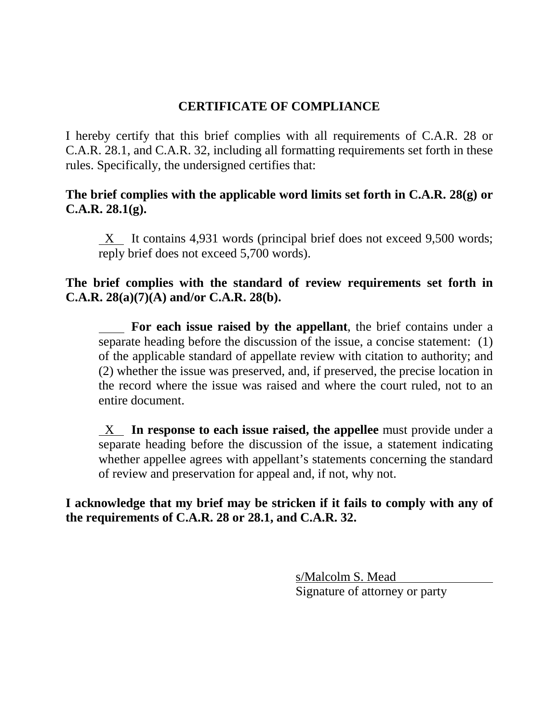## **CERTIFICATE OF COMPLIANCE**

I hereby certify that this brief complies with all requirements of C.A.R. 28 or C.A.R. 28.1, and C.A.R. 32, including all formatting requirements set forth in these rules. Specifically, the undersigned certifies that:

**The brief complies with the applicable word limits set forth in C.A.R. 28(g) or C.A.R. 28.1(g).**

 $X$  It contains 4,931 words (principal brief does not exceed 9,500 words; reply brief does not exceed 5,700 words).

## **The brief complies with the standard of review requirements set forth in C.A.R. 28(a)(7)(A) and/or C.A.R. 28(b).**

**For each issue raised by the appellant**, the brief contains under a separate heading before the discussion of the issue, a concise statement: (1) of the applicable standard of appellate review with citation to authority; and (2) whether the issue was preserved, and, if preserved, the precise location in the record where the issue was raised and where the court ruled, not to an entire document.

 X **In response to each issue raised, the appellee** must provide under a separate heading before the discussion of the issue, a statement indicating whether appellee agrees with appellant's statements concerning the standard of review and preservation for appeal and, if not, why not.

**I acknowledge that my brief may be stricken if it fails to comply with any of the requirements of C.A.R. 28 or 28.1, and C.A.R. 32.**

> s/Malcolm S. Mead Signature of attorney or party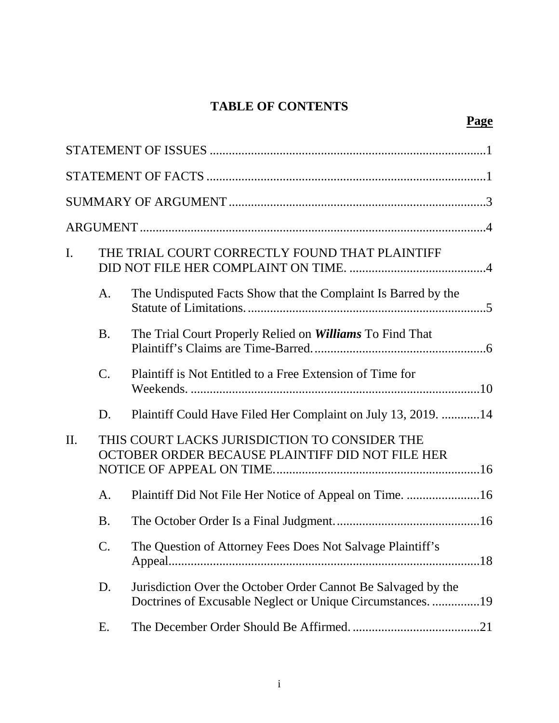# **TABLE OF CONTENTS**

**Page**

| $\mathbf{I}$ . |                                                                                                   | THE TRIAL COURT CORRECTLY FOUND THAT PLAINTIFF                                                                            |     |
|----------------|---------------------------------------------------------------------------------------------------|---------------------------------------------------------------------------------------------------------------------------|-----|
|                | A.                                                                                                | The Undisputed Facts Show that the Complaint Is Barred by the                                                             |     |
|                | <b>B.</b>                                                                                         | The Trial Court Properly Relied on Williams To Find That                                                                  |     |
|                | $\mathbf{C}$ .                                                                                    | Plaintiff is Not Entitled to a Free Extension of Time for                                                                 |     |
|                | D.                                                                                                | Plaintiff Could Have Filed Her Complaint on July 13, 2019. 14                                                             |     |
| $\Pi$ .        | THIS COURT LACKS JURISDICTION TO CONSIDER THE<br>OCTOBER ORDER BECAUSE PLAINTIFF DID NOT FILE HER |                                                                                                                           |     |
|                | A.                                                                                                | Plaintiff Did Not File Her Notice of Appeal on Time. 16                                                                   |     |
|                | <b>B.</b>                                                                                         |                                                                                                                           |     |
|                | C.                                                                                                | The Question of Attorney Fees Does Not Salvage Plaintiff's                                                                |     |
|                | D.                                                                                                | Jurisdiction Over the October Order Cannot Be Salvaged by the<br>Doctrines of Excusable Neglect or Unique Circumstances19 |     |
|                | Ε.                                                                                                |                                                                                                                           | .21 |

i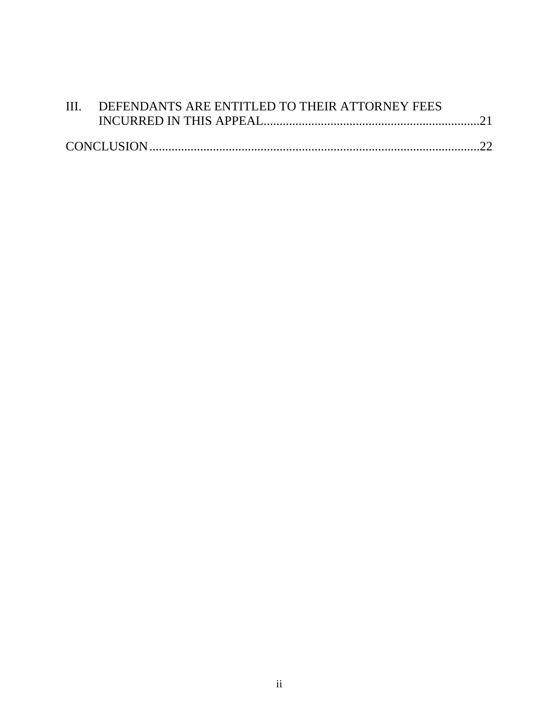| III. DEFENDANTS ARE ENTITLED TO THEIR ATTORNEY FEES |  |
|-----------------------------------------------------|--|
|                                                     |  |
|                                                     |  |
|                                                     |  |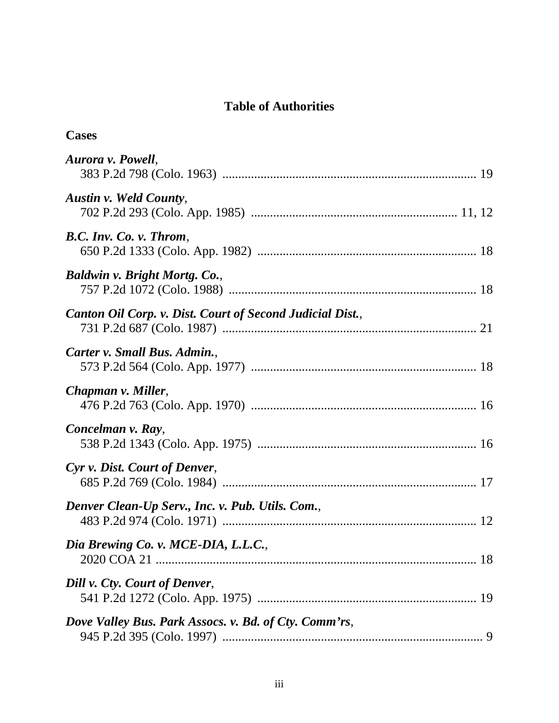## **Table of Authorities**

| <b>Cases</b>                                              |
|-----------------------------------------------------------|
| Aurora v. Powell,                                         |
| Austin v. Weld County,                                    |
| B.C. Inv. Co. v. Throm,                                   |
| Baldwin v. Bright Mortg. Co.,                             |
| Canton Oil Corp. v. Dist. Court of Second Judicial Dist., |
| Carter v. Small Bus. Admin.,                              |
| Chapman v. Miller,                                        |
| Concelman v. Ray,                                         |
| Cyr v. Dist. Court of Denver,                             |
| Denver Clean-Up Serv., Inc. v. Pub. Utils. Com.,          |
| Dia Brewing Co. v. MCE-DIA, L.L.C.,                       |
| Dill v. Cty. Court of Denver,                             |
| Dove Valley Bus. Park Assocs. v. Bd. of Cty. Comm'rs,     |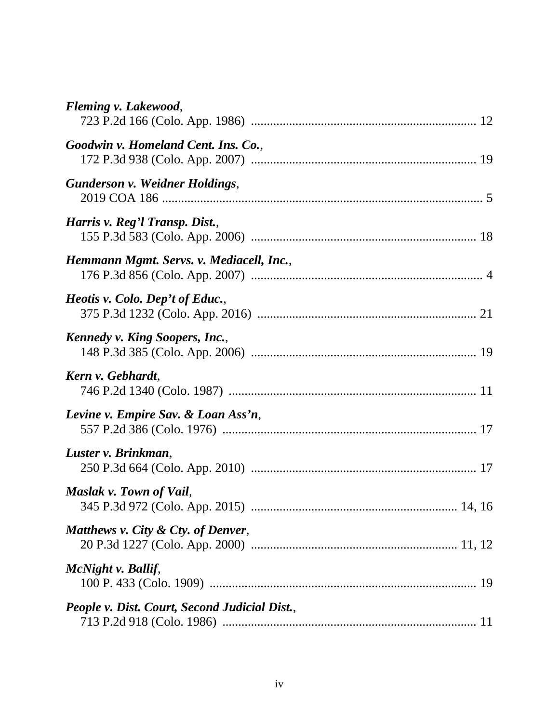| Fleming v. Lakewood,                          |
|-----------------------------------------------|
| Goodwin v. Homeland Cent. Ins. Co.,           |
| <b>Gunderson v. Weidner Holdings,</b>         |
| Harris v. Reg'l Transp. Dist.,                |
| Hemmann Mgmt. Servs. v. Mediacell, Inc.,      |
| Heotis v. Colo. Dep't of Educ.,               |
| <b>Kennedy v. King Soopers, Inc.,</b>         |
| Kern v. Gebhardt,                             |
| Levine v. Empire Sav. & Loan Ass'n,           |
| Luster v. Brinkman,                           |
| Maslak v. Town of Vail,                       |
| Matthews v. City & Cty. of Denver,            |
| McNight v. Ballif,                            |
| People v. Dist. Court, Second Judicial Dist., |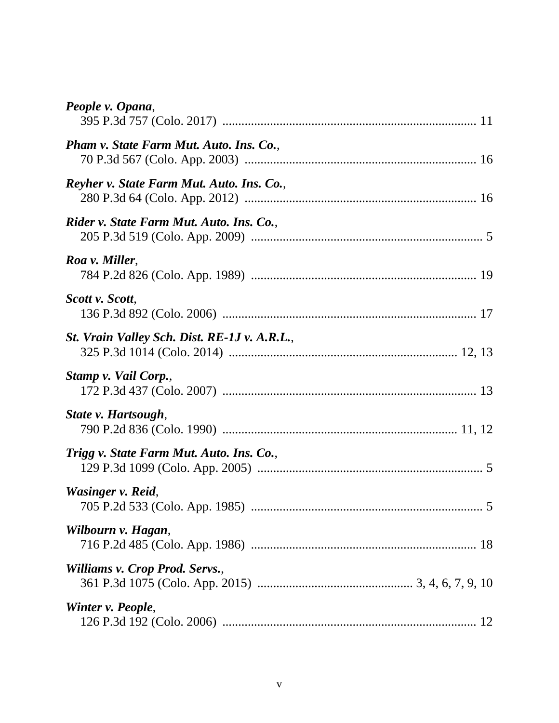| People v. Opana,                             |
|----------------------------------------------|
| Pham v. State Farm Mut. Auto. Ins. Co.,      |
| Reyher v. State Farm Mut. Auto. Ins. Co.,    |
| Rider v. State Farm Mut. Auto. Ins. Co.,     |
| Roa v. Miller,                               |
| Scott v. Scott,                              |
| St. Vrain Valley Sch. Dist. RE-1J v. A.R.L., |
| Stamp v. Vail Corp.,                         |
| State v. Hartsough,                          |
| Trigg v. State Farm Mut. Auto. Ins. Co.,     |
| Wasinger v. Reid,                            |
| Wilbourn v. Hagan,                           |
| Williams v. Crop Prod. Servs.,               |
| Winter v. People,                            |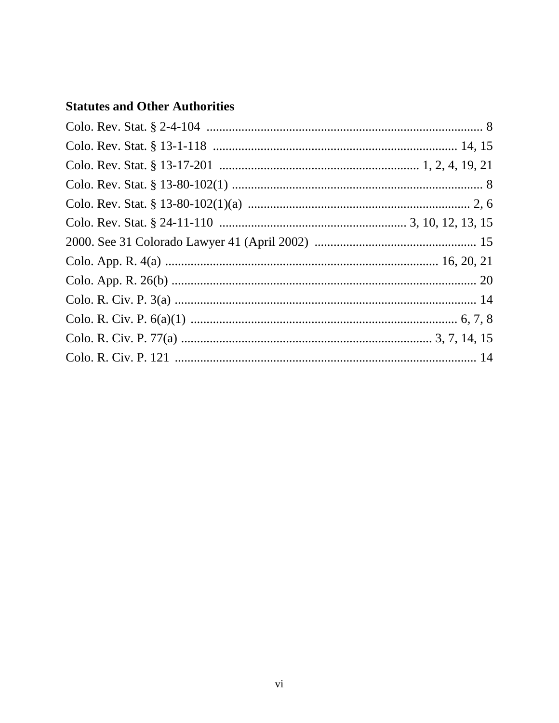## **Statutes and Other Authorities**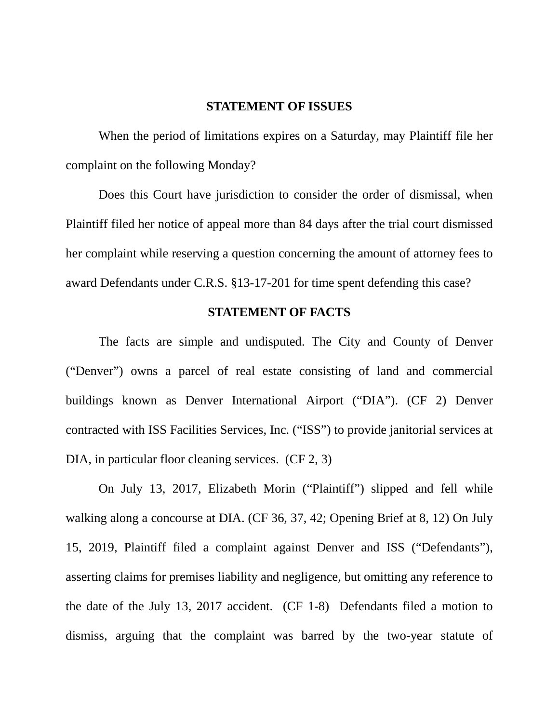#### **STATEMENT OF ISSUES**

When the period of limitations expires on a Saturday, may Plaintiff file her complaint on the following Monday?

Does this Court have jurisdiction to consider the order of dismissal, when Plaintiff filed her notice of appeal more than 84 days after the trial court dismissed her complaint while reserving a question concerning the amount of attorney fees to award Defendants under C.R.S. §13-17-201 for time spent defending this case?

#### **STATEMENT OF FACTS**

The facts are simple and undisputed. The City and County of Denver ("Denver") owns a parcel of real estate consisting of land and commercial buildings known as Denver International Airport ("DIA"). (CF 2) Denver contracted with ISS Facilities Services, Inc. ("ISS") to provide janitorial services at DIA, in particular floor cleaning services. (CF 2, 3)

On July 13, 2017, Elizabeth Morin ("Plaintiff") slipped and fell while walking along a concourse at DIA. (CF 36, 37, 42; Opening Brief at 8, 12) On July 15, 2019, Plaintiff filed a complaint against Denver and ISS ("Defendants"), asserting claims for premises liability and negligence, but omitting any reference to the date of the July 13, 2017 accident. (CF 1-8) Defendants filed a motion to dismiss, arguing that the complaint was barred by the two-year statute of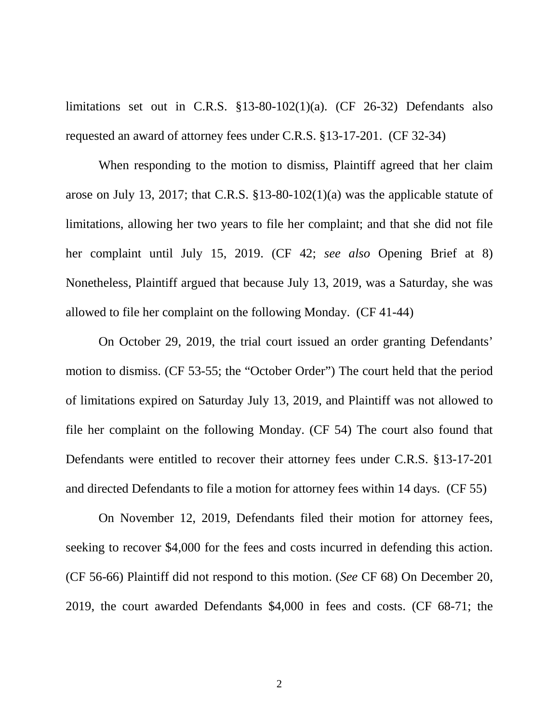limitations set out in C.R.S.  $$13-80-102(1)(a)$ . (CF 26-32) Defendants also requested an award of attorney fees under C.R.S. §13-17-201. (CF 32-34)

When responding to the motion to dismiss, Plaintiff agreed that her claim arose on July 13, 2017; that C.R.S. §13-80-102(1)(a) was the applicable statute of limitations, allowing her two years to file her complaint; and that she did not file her complaint until July 15, 2019. (CF 42; *see also* Opening Brief at 8) Nonetheless, Plaintiff argued that because July 13, 2019, was a Saturday, she was allowed to file her complaint on the following Monday. (CF 41-44)

On October 29, 2019, the trial court issued an order granting Defendants' motion to dismiss. (CF 53-55; the "October Order") The court held that the period of limitations expired on Saturday July 13, 2019, and Plaintiff was not allowed to file her complaint on the following Monday. (CF 54) The court also found that Defendants were entitled to recover their attorney fees under C.R.S. §13-17-201 and directed Defendants to file a motion for attorney fees within 14 days. (CF 55)

On November 12, 2019, Defendants filed their motion for attorney fees, seeking to recover \$4,000 for the fees and costs incurred in defending this action. (CF 56-66) Plaintiff did not respond to this motion. (*See* CF 68) On December 20, 2019, the court awarded Defendants \$4,000 in fees and costs. (CF 68-71; the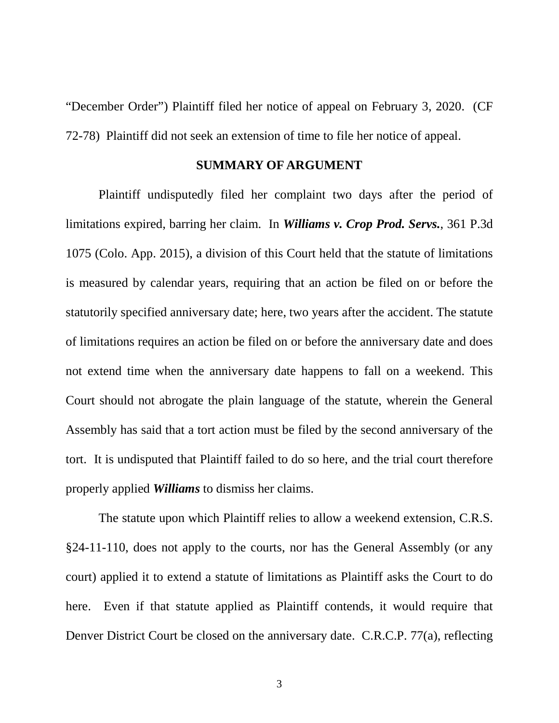"December Order") Plaintiff filed her notice of appeal on February 3, 2020. (CF 72-78) Plaintiff did not seek an extension of time to file her notice of appeal.

#### **SUMMARY OF ARGUMENT**

Plaintiff undisputedly filed her complaint two days after the period of limitations expired, barring her claim. In *Williams v. Crop Prod. Servs.*, 361 P.3d 1075 (Colo. App. 2015), a division of this Court held that the statute of limitations is measured by calendar years, requiring that an action be filed on or before the statutorily specified anniversary date; here, two years after the accident. The statute of limitations requires an action be filed on or before the anniversary date and does not extend time when the anniversary date happens to fall on a weekend. This Court should not abrogate the plain language of the statute, wherein the General Assembly has said that a tort action must be filed by the second anniversary of the tort. It is undisputed that Plaintiff failed to do so here, and the trial court therefore properly applied *Williams* to dismiss her claims.

The statute upon which Plaintiff relies to allow a weekend extension, C.R.S. §24-11-110, does not apply to the courts, nor has the General Assembly (or any court) applied it to extend a statute of limitations as Plaintiff asks the Court to do here. Even if that statute applied as Plaintiff contends, it would require that Denver District Court be closed on the anniversary date. C.R.C.P. 77(a), reflecting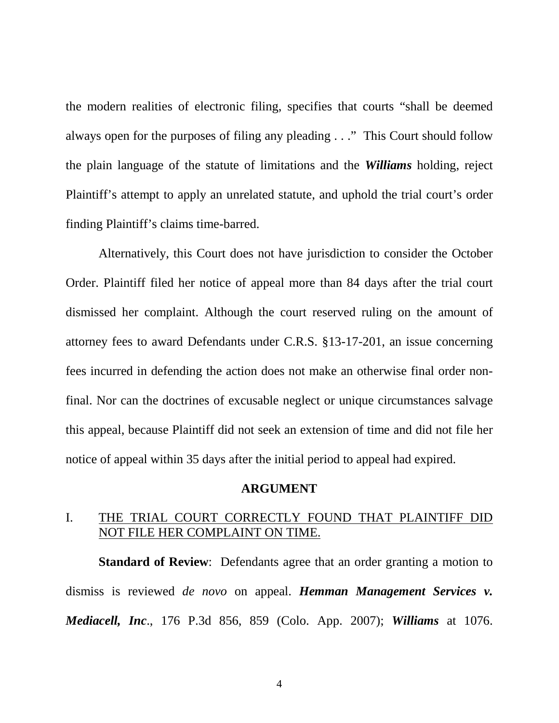the modern realities of electronic filing, specifies that courts "shall be deemed always open for the purposes of filing any pleading . . ." This Court should follow the plain language of the statute of limitations and the *Williams* holding, reject Plaintiff's attempt to apply an unrelated statute, and uphold the trial court's order finding Plaintiff's claims time-barred.

Alternatively, this Court does not have jurisdiction to consider the October Order. Plaintiff filed her notice of appeal more than 84 days after the trial court dismissed her complaint. Although the court reserved ruling on the amount of attorney fees to award Defendants under C.R.S. §13-17-201, an issue concerning fees incurred in defending the action does not make an otherwise final order nonfinal. Nor can the doctrines of excusable neglect or unique circumstances salvage this appeal, because Plaintiff did not seek an extension of time and did not file her notice of appeal within 35 days after the initial period to appeal had expired.

#### **ARGUMENT**

## I. THE TRIAL COURT CORRECTLY FOUND THAT PLAINTIFF DID NOT FILE HER COMPLAINT ON TIME.

**Standard of Review**: Defendants agree that an order granting a motion to dismiss is reviewed *de novo* on appeal. *Hemman Management Services v. Mediacell, Inc*., 176 P.3d 856, 859 (Colo. App. 2007); *Williams* at 1076.

4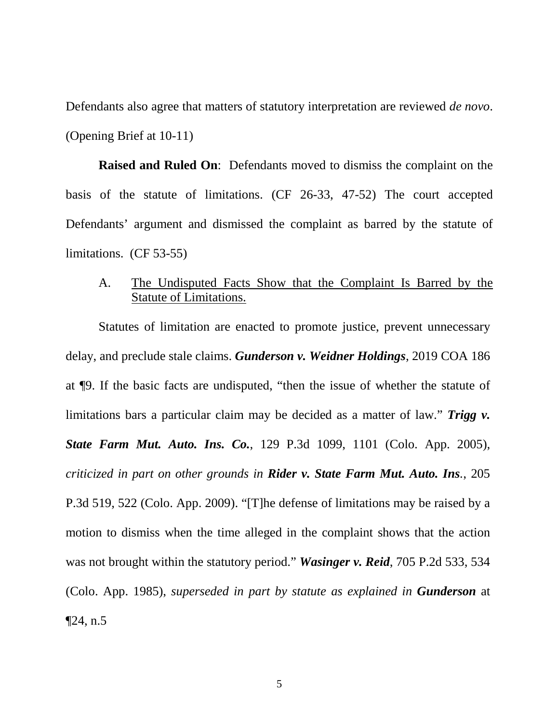Defendants also agree that matters of statutory interpretation are reviewed *de novo*. (Opening Brief at 10-11)

**Raised and Ruled On**: Defendants moved to dismiss the complaint on the basis of the statute of limitations. (CF 26-33, 47-52) The court accepted Defendants' argument and dismissed the complaint as barred by the statute of limitations. (CF 53-55)

## A. The Undisputed Facts Show that the Complaint Is Barred by the Statute of Limitations.

Statutes of limitation are enacted to promote justice, prevent unnecessary delay, and preclude stale claims. *Gunderson v. Weidner Holdings*, 2019 COA 186 at ¶9. If the basic facts are undisputed, "then the issue of whether the statute of limitations bars a particular claim may be decided as a matter of law." *Trigg v. State Farm Mut. Auto. Ins. Co.*, 129 P.3d 1099, 1101 (Colo. App. 2005), *criticized in part on other grounds in Rider v. State Farm Mut. Auto. Ins.*, 205 P.3d 519, 522 (Colo. App. 2009). "[T]he defense of limitations may be raised by a motion to dismiss when the time alleged in the complaint shows that the action was not brought within the statutory period." *Wasinger v. Reid*, 705 P.2d 533, 534 (Colo. App. 1985), *superseded in part by statute as explained in Gunderson* at  $\P$ 24, n.5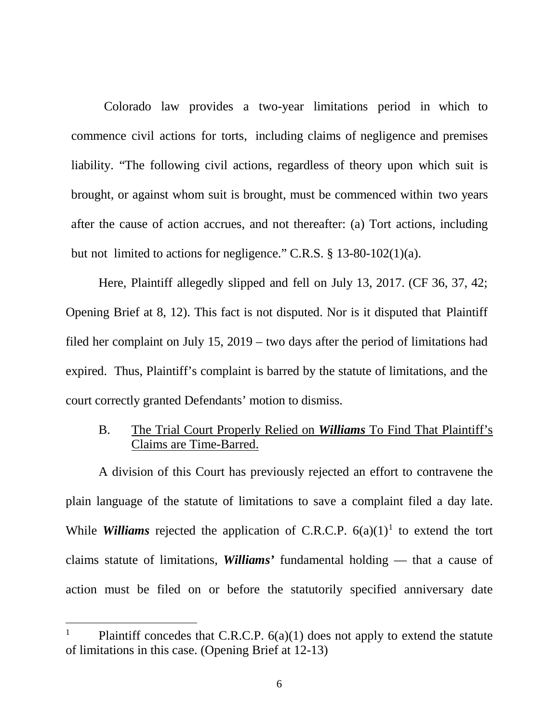Colorado law provides a two-year limitations period in which to commence civil actions for torts, including claims of negligence and premises liability. "The following civil actions, regardless of theory upon which suit is brought, or against whom suit is brought, must be commenced within two years after the cause of action accrues, and not thereafter: (a) Tort actions, including but not limited to actions for negligence." C.R.S. § 13-80-102(1)(a).

Here, Plaintiff allegedly slipped and fell on July 13, 2017. (CF 36, 37, 42; Opening Brief at 8, 12). This fact is not disputed. Nor is it disputed that Plaintiff filed her complaint on July 15, 2019 – two days after the period of limitations had expired. Thus, Plaintiff's complaint is barred by the statute of limitations, and the court correctly granted Defendants' motion to dismiss.

## B. The Trial Court Properly Relied on *Williams* To Find That Plaintiff's Claims are Time-Barred.

A division of this Court has previously rejected an effort to contravene the plain language of the statute of limitations to save a complaint filed a day late. While *Williams* rejected the application of C.R.C.P.  $6(a)(1)^1$  to extend the tort claims statute of limitations, *Williams'* fundamental holding — that a cause of action must be filed on or before the statutorily specified anniversary date

<sup>&</sup>lt;sup>1</sup> Plaintiff concedes that C.R.C.P.  $6(a)(1)$  does not apply to extend the statute of limitations in this case. (Opening Brief at 12-13)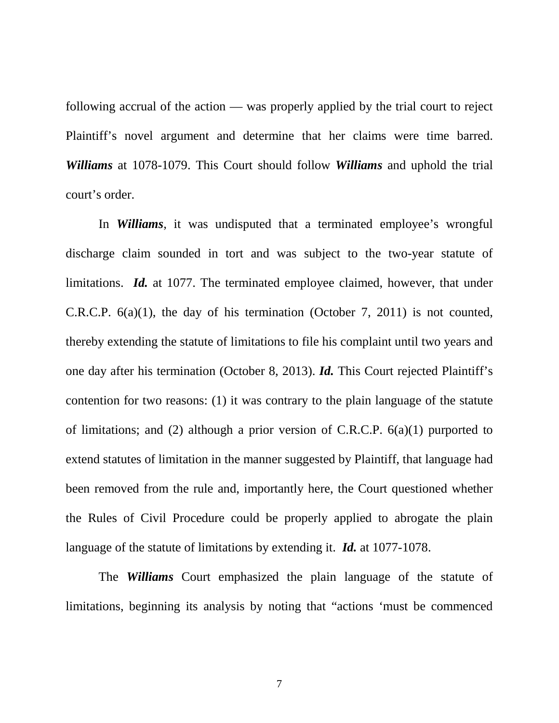following accrual of the action — was properly applied by the trial court to reject Plaintiff's novel argument and determine that her claims were time barred. *Williams* at 1078-1079. This Court should follow *Williams* and uphold the trial court's order.

In *Williams*, it was undisputed that a terminated employee's wrongful discharge claim sounded in tort and was subject to the two-year statute of limitations. *Id.* at 1077. The terminated employee claimed, however, that under C.R.C.P. 6(a)(1), the day of his termination (October 7, 2011) is not counted, thereby extending the statute of limitations to file his complaint until two years and one day after his termination (October 8, 2013). *Id.* This Court rejected Plaintiff's contention for two reasons: (1) it was contrary to the plain language of the statute of limitations; and (2) although a prior version of C.R.C.P. 6(a)(1) purported to extend statutes of limitation in the manner suggested by Plaintiff, that language had been removed from the rule and, importantly here, the Court questioned whether the Rules of Civil Procedure could be properly applied to abrogate the plain language of the statute of limitations by extending it. *Id.* at 1077-1078.

The *Williams* Court emphasized the plain language of the statute of limitations, beginning its analysis by noting that "actions 'must be commenced

7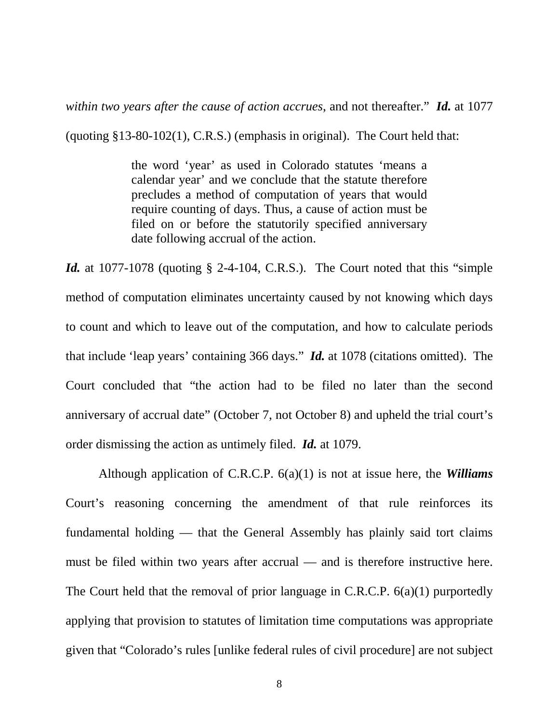*within two years after the cause of action accrues*, and not thereafter." *Id.* at 1077

(quoting §13-80-102(1), C.R.S.) (emphasis in original). The Court held that:

the word 'year' as used in Colorado statutes 'means a calendar year' and we conclude that the statute therefore precludes a method of computation of years that would require counting of days. Thus, a cause of action must be filed on or before the statutorily specified anniversary date following accrual of the action.

*Id.* at 1077-1078 (quoting § 2-4-104, C.R.S.). The Court noted that this "simple method of computation eliminates uncertainty caused by not knowing which days to count and which to leave out of the computation, and how to calculate periods that include 'leap years' containing 366 days." *Id.* at 1078 (citations omitted). The Court concluded that "the action had to be filed no later than the second anniversary of accrual date" (October 7, not October 8) and upheld the trial court's order dismissing the action as untimely filed. *Id.* at 1079.

Although application of C.R.C.P. 6(a)(1) is not at issue here, the *Williams* Court's reasoning concerning the amendment of that rule reinforces its fundamental holding — that the General Assembly has plainly said tort claims must be filed within two years after accrual — and is therefore instructive here. The Court held that the removal of prior language in C.R.C.P. 6(a)(1) purportedly applying that provision to statutes of limitation time computations was appropriate given that "Colorado's rules [unlike federal rules of civil procedure] are not subject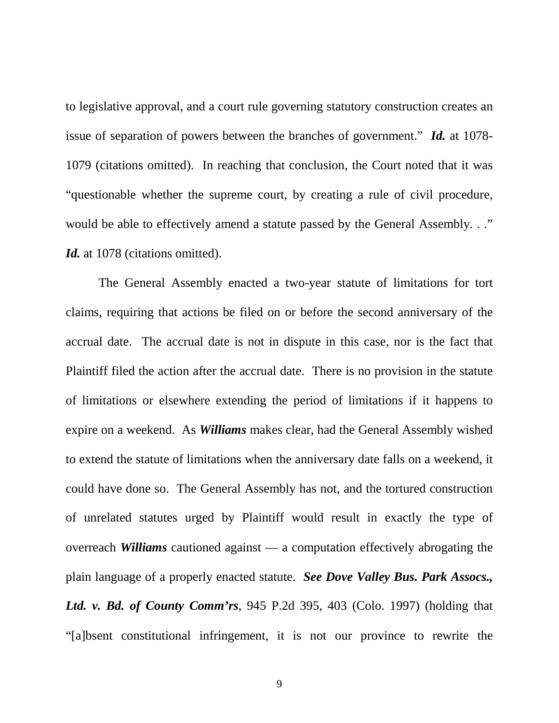to legislative approval, and a court rule governing statutory construction creates an issue of separation of powers between the branches of government." *Id.* at 1078- 1079 (citations omitted). In reaching that conclusion, the Court noted that it was "questionable whether the supreme court, by creating a rule of civil procedure, would be able to effectively amend a statute passed by the General Assembly. . ." Id. at 1078 (citations omitted).

The General Assembly enacted a two-year statute of limitations for tort claims, requiring that actions be filed on or before the second anniversary of the accrual date. The accrual date is not in dispute in this case, nor is the fact that Plaintiff filed the action after the accrual date. There is no provision in the statute of limitations or elsewhere extending the period of limitations if it happens to expire on a weekend. As *Williams* makes clear, had the General Assembly wished to extend the statute of limitations when the anniversary date falls on a weekend, it could have done so. The General Assembly has not, and the tortured construction of unrelated statutes urged by Plaintiff would result in exactly the type of overreach *Williams* cautioned against — a computation effectively abrogating the plain language of a properly enacted statute. *See Dove Valley Bus. Park Assocs., Ltd. v. Bd. of County Comm'rs*, 945 P.2d 395, 403 (Colo. 1997) (holding that "[a]bsent constitutional infringement, it is not our province to rewrite the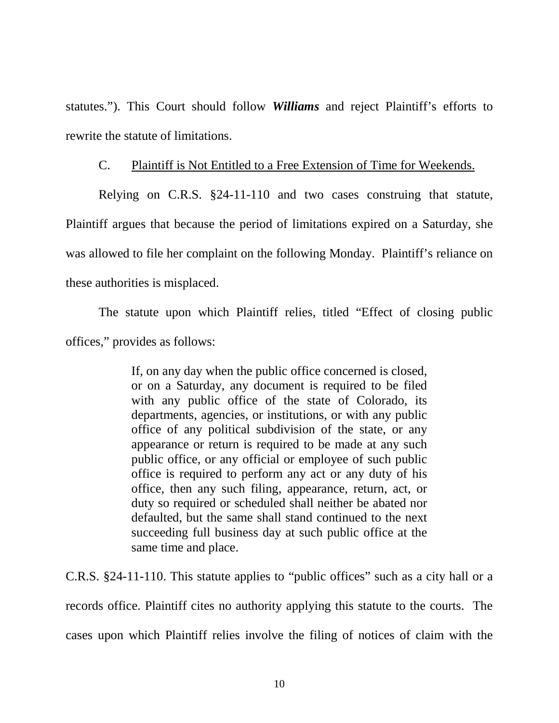statutes."). This Court should follow *Williams* and reject Plaintiff's efforts to rewrite the statute of limitations.

### C. Plaintiff is Not Entitled to a Free Extension of Time for Weekends.

Relying on C.R.S. §24-11-110 and two cases construing that statute, Plaintiff argues that because the period of limitations expired on a Saturday, she was allowed to file her complaint on the following Monday. Plaintiff's reliance on these authorities is misplaced.

The statute upon which Plaintiff relies, titled "Effect of closing public offices," provides as follows:

> If, on any day when the public office concerned is closed, or on a Saturday, any document is required to be filed with any public office of the state of Colorado, its departments, agencies, or institutions, or with any public office of any political subdivision of the state, or any appearance or return is required to be made at any such public office, or any official or employee of such public office is required to perform any act or any duty of his office, then any such filing, appearance, return, act, or duty so required or scheduled shall neither be abated nor defaulted, but the same shall stand continued to the next succeeding full business day at such public office at the same time and place.

C.R.S. §24-11-110. This statute applies to "public offices" such as a city hall or a records office. Plaintiff cites no authority applying this statute to the courts. The cases upon which Plaintiff relies involve the filing of notices of claim with the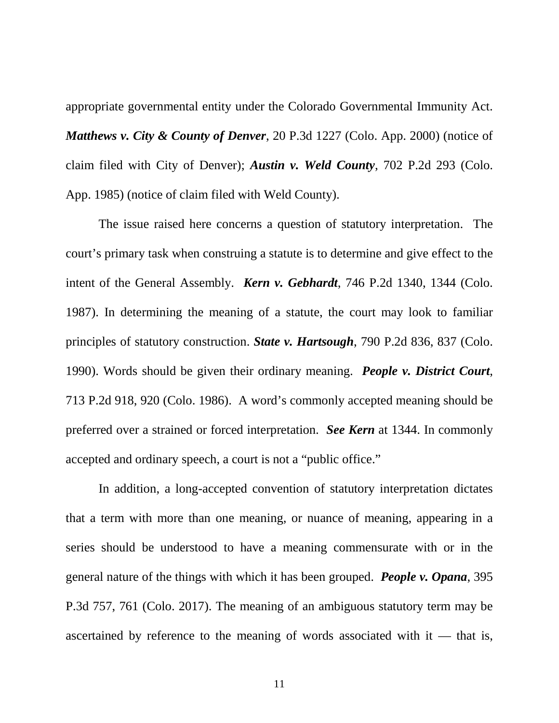appropriate governmental entity under the Colorado Governmental Immunity Act. *Matthews v. City & County of Denver*, 20 P.3d 1227 (Colo. App. 2000) (notice of claim filed with City of Denver); *Austin v. Weld County*, 702 P.2d 293 (Colo. App. 1985) (notice of claim filed with Weld County).

The issue raised here concerns a question of statutory interpretation. The court's primary task when construing a statute is to determine and give effect to the intent of the General Assembly. *Kern v. Gebhardt*, 746 P.2d 1340, 1344 (Colo. 1987). In determining the meaning of a statute, the court may look to familiar principles of statutory construction. *State v. Hartsough*, 790 P.2d 836, 837 (Colo. 1990). Words should be given their ordinary meaning. *People v. District Court*, 713 P.2d 918, 920 (Colo. 1986). A word's commonly accepted meaning should be preferred over a strained or forced interpretation. *See Kern* at 1344. In commonly accepted and ordinary speech, a court is not a "public office."

In addition, a long-accepted convention of statutory interpretation dictates that a term with more than one meaning, or nuance of meaning, appearing in a series should be understood to have a meaning commensurate with or in the general nature of the things with which it has been grouped. *People v. Opana*, 395 P.3d 757, 761 (Colo. 2017). The meaning of an ambiguous statutory term may be ascertained by reference to the meaning of words associated with it — that is,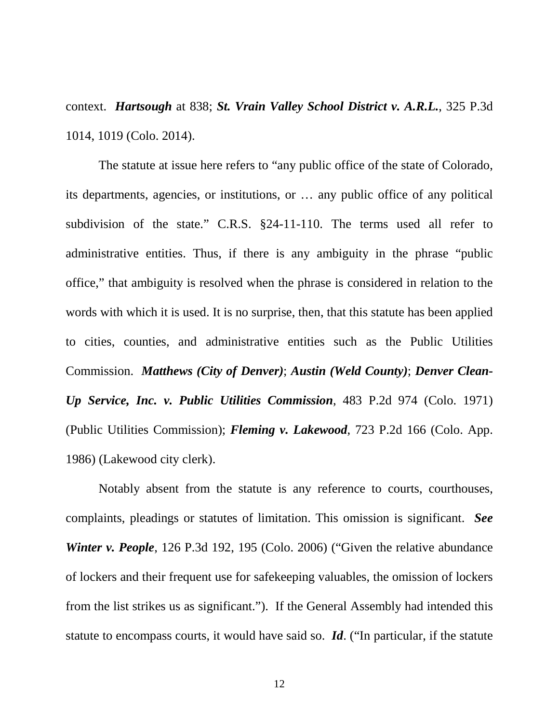context. *Hartsough* at 838; *St. Vrain Valley School District v. A.R.L.*, 325 P.3d 1014, 1019 (Colo. 2014).

The statute at issue here refers to "any public office of the state of Colorado, its departments, agencies, or institutions, or … any public office of any political subdivision of the state." C.R.S. §24-11-110. The terms used all refer to administrative entities. Thus, if there is any ambiguity in the phrase "public office," that ambiguity is resolved when the phrase is considered in relation to the words with which it is used. It is no surprise, then, that this statute has been applied to cities, counties, and administrative entities such as the Public Utilities Commission. *Matthews (City of Denver)*; *Austin (Weld County)*; *Denver Clean-Up Service, Inc. v. Public Utilities Commission*, 483 P.2d 974 (Colo. 1971) (Public Utilities Commission); *Fleming v. Lakewood*, 723 P.2d 166 (Colo. App. 1986) (Lakewood city clerk).

Notably absent from the statute is any reference to courts, courthouses, complaints, pleadings or statutes of limitation. This omission is significant. *See Winter v. People*, 126 P.3d 192, 195 (Colo. 2006) ("Given the relative abundance of lockers and their frequent use for safekeeping valuables, the omission of lockers from the list strikes us as significant."). If the General Assembly had intended this statute to encompass courts, it would have said so. *Id*. ("In particular, if the statute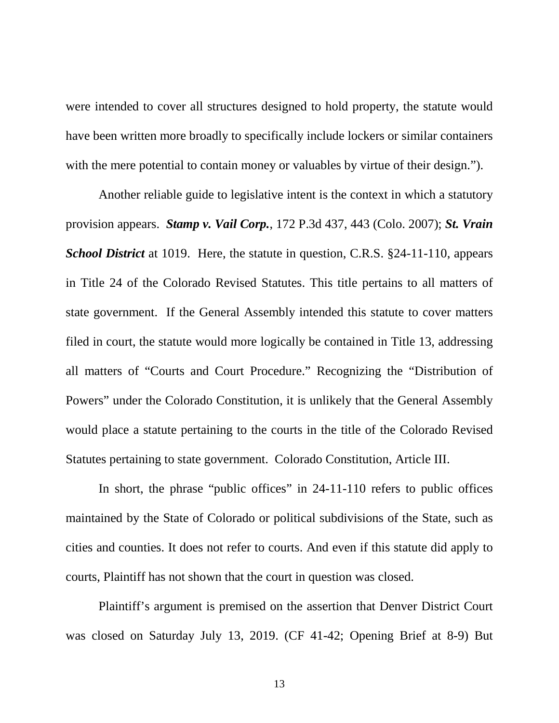were intended to cover all structures designed to hold property, the statute would have been written more broadly to specifically include lockers or similar containers with the mere potential to contain money or valuables by virtue of their design.").

Another reliable guide to legislative intent is the context in which a statutory provision appears. *Stamp v. Vail Corp.*, 172 P.3d 437, 443 (Colo. 2007); *St. Vrain School District* at 1019. Here, the statute in question, C.R.S. §24-11-110, appears in Title 24 of the Colorado Revised Statutes. This title pertains to all matters of state government. If the General Assembly intended this statute to cover matters filed in court, the statute would more logically be contained in Title 13, addressing all matters of "Courts and Court Procedure." Recognizing the "Distribution of Powers" under the Colorado Constitution, it is unlikely that the General Assembly would place a statute pertaining to the courts in the title of the Colorado Revised Statutes pertaining to state government. Colorado Constitution, Article III.

In short, the phrase "public offices" in 24-11-110 refers to public offices maintained by the State of Colorado or political subdivisions of the State, such as cities and counties. It does not refer to courts. And even if this statute did apply to courts, Plaintiff has not shown that the court in question was closed.

Plaintiff's argument is premised on the assertion that Denver District Court was closed on Saturday July 13, 2019. (CF 41-42; Opening Brief at 8-9) But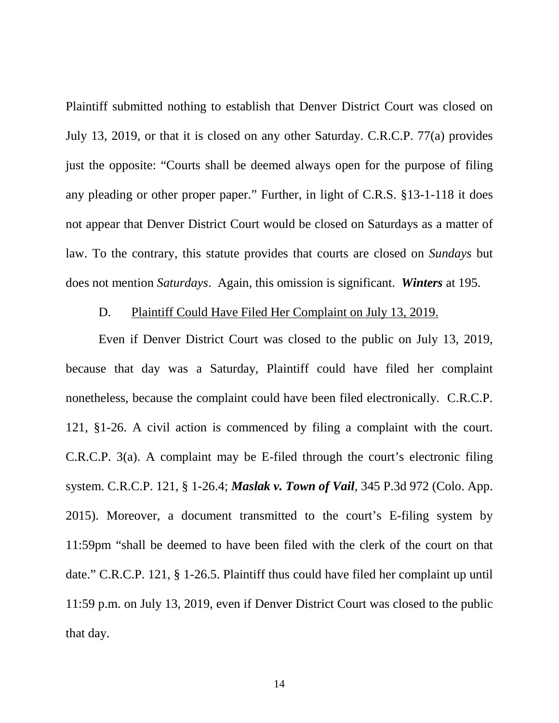Plaintiff submitted nothing to establish that Denver District Court was closed on July 13, 2019, or that it is closed on any other Saturday. C.R.C.P. 77(a) provides just the opposite: "Courts shall be deemed always open for the purpose of filing any pleading or other proper paper." Further, in light of C.R.S. §13-1-118 it does not appear that Denver District Court would be closed on Saturdays as a matter of law. To the contrary, this statute provides that courts are closed on *Sundays* but does not mention *Saturdays*. Again, this omission is significant. *Winters* at 195.

### D. Plaintiff Could Have Filed Her Complaint on July 13, 2019.

Even if Denver District Court was closed to the public on July 13, 2019, because that day was a Saturday, Plaintiff could have filed her complaint nonetheless, because the complaint could have been filed electronically. C.R.C.P. 121, §1-26. A civil action is commenced by filing a complaint with the court. C.R.C.P. 3(a). A complaint may be E-filed through the court's electronic filing system. C.R.C.P. 121, § 1-26.4; *Maslak v. Town of Vail*, 345 P.3d 972 (Colo. App. 2015). Moreover, a document transmitted to the court's E-filing system by 11:59pm "shall be deemed to have been filed with the clerk of the court on that date." C.R.C.P. 121, § 1-26.5. Plaintiff thus could have filed her complaint up until 11:59 p.m. on July 13, 2019, even if Denver District Court was closed to the public that day.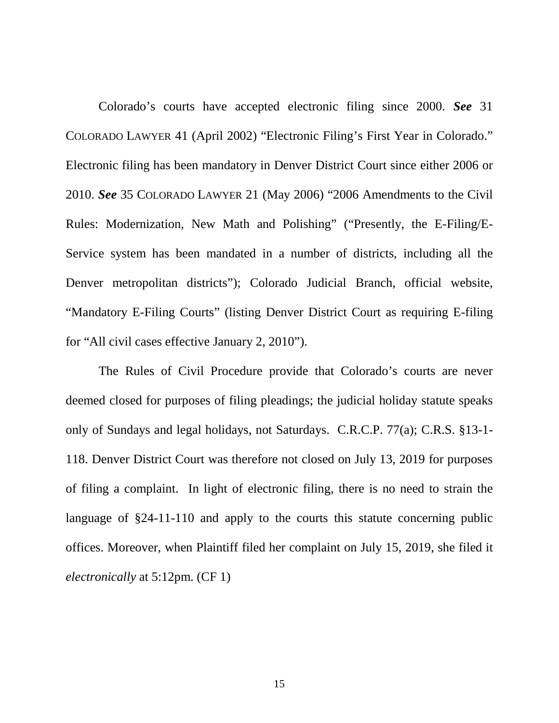Colorado's courts have accepted electronic filing since 2000. *See* 31 COLORADO LAWYER 41 (April 2002) "Electronic Filing's First Year in Colorado." Electronic filing has been mandatory in Denver District Court since either 2006 or 2010. *See* 35 COLORADO LAWYER 21 (May 2006) "2006 Amendments to the Civil Rules: Modernization, New Math and Polishing" ("Presently, the E-Filing/E-Service system has been mandated in a number of districts, including all the Denver metropolitan districts"); Colorado Judicial Branch, official website, "Mandatory E-Filing Courts" (listing Denver District Court as requiring E-filing for "All civil cases effective January 2, 2010").

The Rules of Civil Procedure provide that Colorado's courts are never deemed closed for purposes of filing pleadings; the judicial holiday statute speaks only of Sundays and legal holidays, not Saturdays. C.R.C.P. 77(a); C.R.S. §13-1- 118. Denver District Court was therefore not closed on July 13, 2019 for purposes of filing a complaint. In light of electronic filing, there is no need to strain the language of §24-11-110 and apply to the courts this statute concerning public offices. Moreover, when Plaintiff filed her complaint on July 15, 2019, she filed it *electronically* at 5:12pm. (CF 1)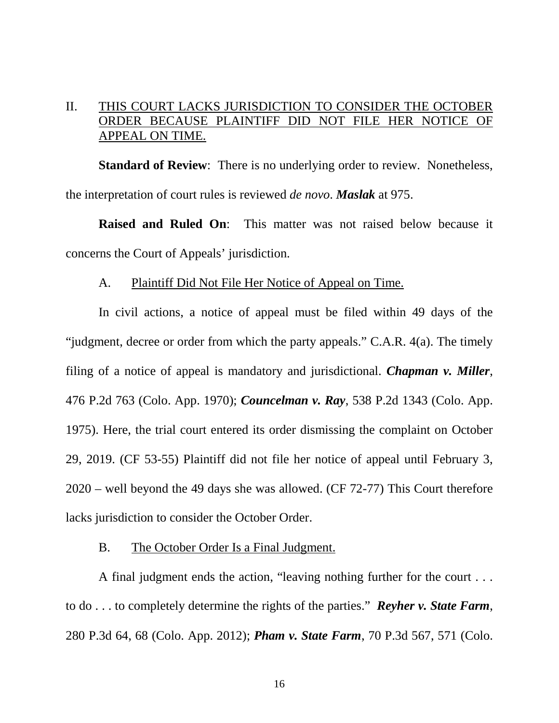## II. THIS COURT LACKS JURISDICTION TO CONSIDER THE OCTOBER ORDER BECAUSE PLAINTIFF DID NOT FILE HER NOTICE OF APPEAL ON TIME.

**Standard of Review**: There is no underlying order to review. Nonetheless, the interpretation of court rules is reviewed *de novo*. *Maslak* at 975.

**Raised and Ruled On**: This matter was not raised below because it concerns the Court of Appeals' jurisdiction.

#### A. Plaintiff Did Not File Her Notice of Appeal on Time.

In civil actions, a notice of appeal must be filed within 49 days of the "judgment, decree or order from which the party appeals." C.A.R.  $4(a)$ . The timely filing of a notice of appeal is mandatory and jurisdictional. *Chapman v. Miller*, 476 P.2d 763 (Colo. App. 1970); *Councelman v. Ray*, 538 P.2d 1343 (Colo. App. 1975). Here, the trial court entered its order dismissing the complaint on October 29, 2019. (CF 53-55) Plaintiff did not file her notice of appeal until February 3, 2020 – well beyond the 49 days she was allowed. (CF 72-77) This Court therefore lacks jurisdiction to consider the October Order.

### B. The October Order Is a Final Judgment.

A final judgment ends the action, "leaving nothing further for the court . . . to do . . . to completely determine the rights of the parties." *Reyher v. State Farm*, 280 P.3d 64, 68 (Colo. App. 2012); *Pham v. State Farm*, 70 P.3d 567, 571 (Colo.

16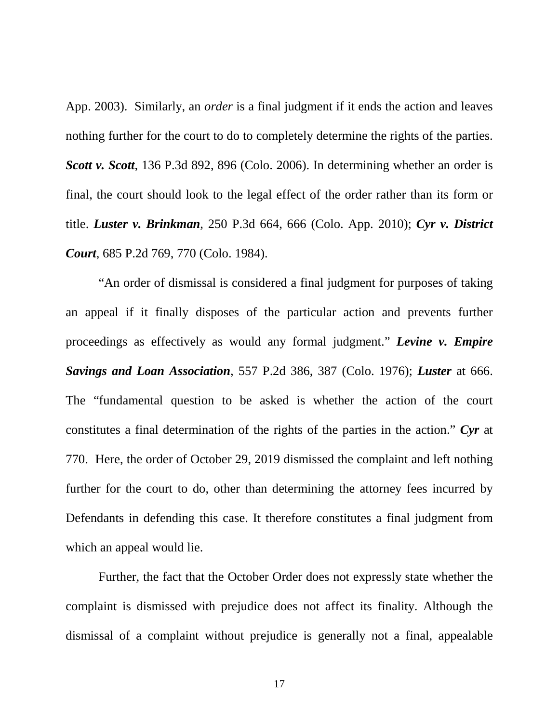App. 2003). Similarly, an *order* is a final judgment if it ends the action and leaves nothing further for the court to do to completely determine the rights of the parties. *Scott v. Scott*, 136 P.3d 892, 896 (Colo. 2006). In determining whether an order is final, the court should look to the legal effect of the order rather than its form or title. *Luster v. Brinkman*, 250 P.3d 664, 666 (Colo. App. 2010); *Cyr v. District Court*, 685 P.2d 769, 770 (Colo. 1984).

"An order of dismissal is considered a final judgment for purposes of taking an appeal if it finally disposes of the particular action and prevents further proceedings as effectively as would any formal judgment." *Levine v. Empire Savings and Loan Association*, 557 P.2d 386, 387 (Colo. 1976); *Luster* at 666. The "fundamental question to be asked is whether the action of the court constitutes a final determination of the rights of the parties in the action." *Cyr* at 770. Here, the order of October 29, 2019 dismissed the complaint and left nothing further for the court to do, other than determining the attorney fees incurred by Defendants in defending this case. It therefore constitutes a final judgment from which an appeal would lie.

Further, the fact that the October Order does not expressly state whether the complaint is dismissed with prejudice does not affect its finality. Although the dismissal of a complaint without prejudice is generally not a final, appealable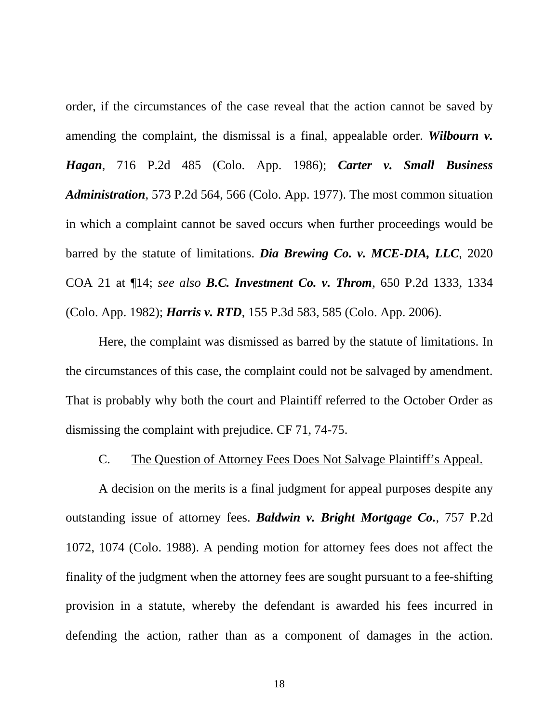order, if the circumstances of the case reveal that the action cannot be saved by amending the complaint, the dismissal is a final, appealable order. *Wilbourn v. Hagan*, 716 P.2d 485 (Colo. App. 1986); *Carter v. Small Business Administration*, 573 P.2d 564, 566 (Colo. App. 1977). The most common situation in which a complaint cannot be saved occurs when further proceedings would be barred by the statute of limitations. *Dia Brewing Co. v. MCE-DIA, LLC*, 2020 COA 21 at ¶14; *see also B.C. Investment Co. v. Throm*, 650 P.2d 1333, 1334 (Colo. App. 1982); *Harris v. RTD*, 155 P.3d 583, 585 (Colo. App. 2006).

Here, the complaint was dismissed as barred by the statute of limitations. In the circumstances of this case, the complaint could not be salvaged by amendment. That is probably why both the court and Plaintiff referred to the October Order as dismissing the complaint with prejudice. CF 71, 74-75.

### C. The Question of Attorney Fees Does Not Salvage Plaintiff's Appeal.

A decision on the merits is a final judgment for appeal purposes despite any outstanding issue of attorney fees. *Baldwin v. Bright Mortgage Co.*, 757 P.2d 1072, 1074 (Colo. 1988). A pending motion for attorney fees does not affect the finality of the judgment when the attorney fees are sought pursuant to a fee-shifting provision in a statute, whereby the defendant is awarded his fees incurred in defending the action, rather than as a component of damages in the action.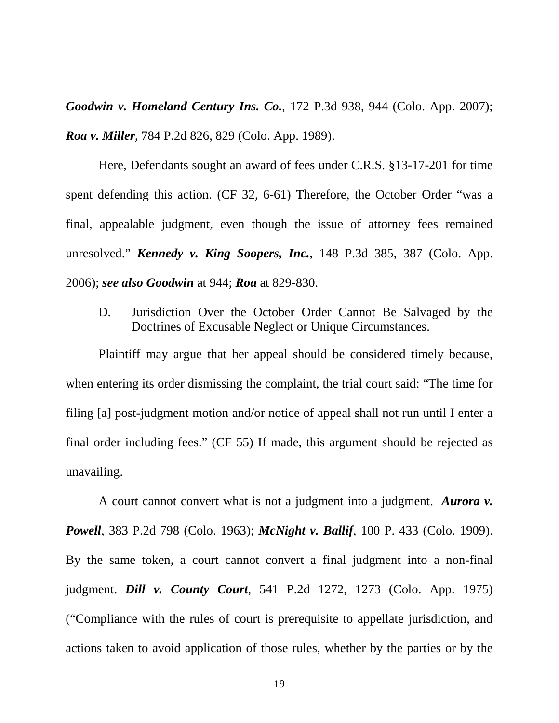*Goodwin v. Homeland Century Ins. Co.*, 172 P.3d 938, 944 (Colo. App. 2007); *Roa v. Miller*, 784 P.2d 826, 829 (Colo. App. 1989).

Here, Defendants sought an award of fees under C.R.S. §13-17-201 for time spent defending this action. (CF 32, 6-61) Therefore, the October Order "was a final, appealable judgment, even though the issue of attorney fees remained unresolved." *Kennedy v. King Soopers, Inc.*, 148 P.3d 385, 387 (Colo. App. 2006); *see also Goodwin* at 944; *Roa* at 829-830.

D. Jurisdiction Over the October Order Cannot Be Salvaged by the Doctrines of Excusable Neglect or Unique Circumstances.

Plaintiff may argue that her appeal should be considered timely because, when entering its order dismissing the complaint, the trial court said: "The time for filing [a] post-judgment motion and/or notice of appeal shall not run until I enter a final order including fees." (CF 55) If made, this argument should be rejected as unavailing.

A court cannot convert what is not a judgment into a judgment. *Aurora v. Powell*, 383 P.2d 798 (Colo. 1963); *McNight v. Ballif*, 100 P. 433 (Colo. 1909). By the same token, a court cannot convert a final judgment into a non-final judgment. *Dill v. County Court*, 541 P.2d 1272, 1273 (Colo. App. 1975) ("Compliance with the rules of court is prerequisite to appellate jurisdiction, and actions taken to avoid application of those rules, whether by the parties or by the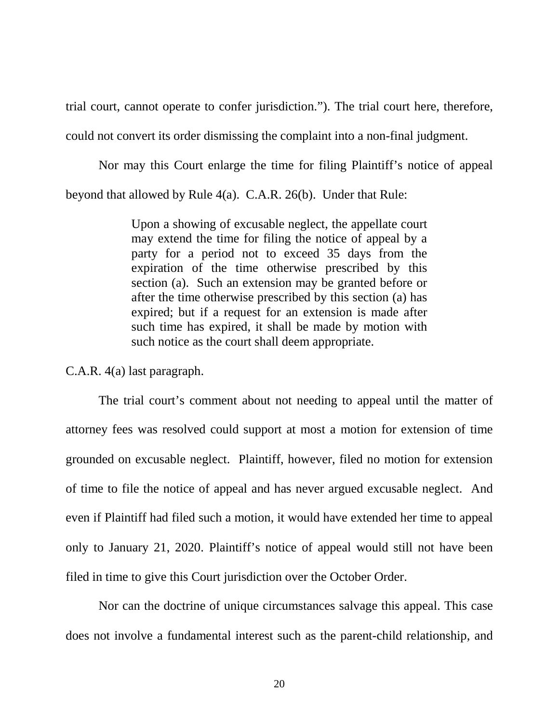trial court, cannot operate to confer jurisdiction."). The trial court here, therefore, could not convert its order dismissing the complaint into a non-final judgment.

Nor may this Court enlarge the time for filing Plaintiff's notice of appeal beyond that allowed by Rule 4(a). C.A.R. 26(b). Under that Rule:

> Upon a showing of excusable neglect, the appellate court may extend the time for filing the notice of appeal by a party for a period not to exceed 35 days from the expiration of the time otherwise prescribed by this section (a). Such an extension may be granted before or after the time otherwise prescribed by this section (a) has expired; but if a request for an extension is made after such time has expired, it shall be made by motion with such notice as the court shall deem appropriate.

C.A.R. 4(a) last paragraph.

The trial court's comment about not needing to appeal until the matter of attorney fees was resolved could support at most a motion for extension of time grounded on excusable neglect. Plaintiff, however, filed no motion for extension of time to file the notice of appeal and has never argued excusable neglect. And even if Plaintiff had filed such a motion, it would have extended her time to appeal only to January 21, 2020. Plaintiff's notice of appeal would still not have been filed in time to give this Court jurisdiction over the October Order.

Nor can the doctrine of unique circumstances salvage this appeal. This case does not involve a fundamental interest such as the parent-child relationship, and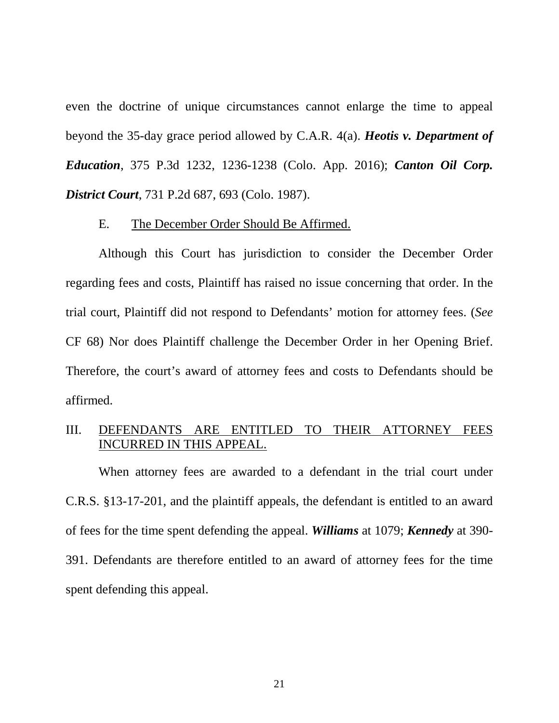even the doctrine of unique circumstances cannot enlarge the time to appeal beyond the 35-day grace period allowed by C.A.R. 4(a). *Heotis v. Department of Education*, 375 P.3d 1232, 1236-1238 (Colo. App. 2016); *Canton Oil Corp. District Court*, 731 P.2d 687, 693 (Colo. 1987).

### E. The December Order Should Be Affirmed.

Although this Court has jurisdiction to consider the December Order regarding fees and costs, Plaintiff has raised no issue concerning that order. In the trial court, Plaintiff did not respond to Defendants' motion for attorney fees. (*See* CF 68) Nor does Plaintiff challenge the December Order in her Opening Brief. Therefore, the court's award of attorney fees and costs to Defendants should be affirmed.

### III. DEFENDANTS ARE ENTITLED TO THEIR ATTORNEY FEES INCURRED IN THIS APPEAL.

When attorney fees are awarded to a defendant in the trial court under C.R.S. §13-17-201, and the plaintiff appeals, the defendant is entitled to an award of fees for the time spent defending the appeal. *Williams* at 1079; *Kennedy* at 390- 391. Defendants are therefore entitled to an award of attorney fees for the time spent defending this appeal.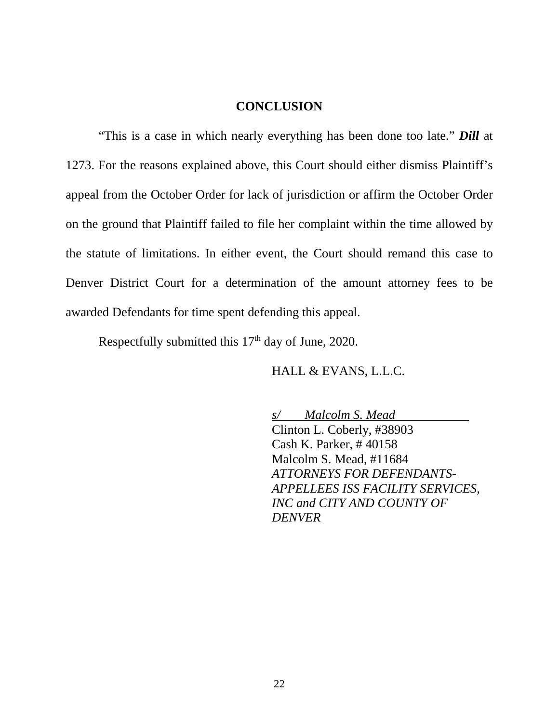### **CONCLUSION**

"This is a case in which nearly everything has been done too late." *Dill* at 1273. For the reasons explained above, this Court should either dismiss Plaintiff's appeal from the October Order for lack of jurisdiction or affirm the October Order on the ground that Plaintiff failed to file her complaint within the time allowed by the statute of limitations. In either event, the Court should remand this case to Denver District Court for a determination of the amount attorney fees to be awarded Defendants for time spent defending this appeal.

Respectfully submitted this  $17<sup>th</sup>$  day of June, 2020.

HALL & EVANS, L.L.C.

*s/ Malcolm S. Mead* Clinton L. Coberly, #38903 Cash K. Parker, # 40158 Malcolm S. Mead, #11684 *ATTORNEYS FOR DEFENDANTS-APPELLEES ISS FACILITY SERVICES, INC and CITY AND COUNTY OF DENVER*